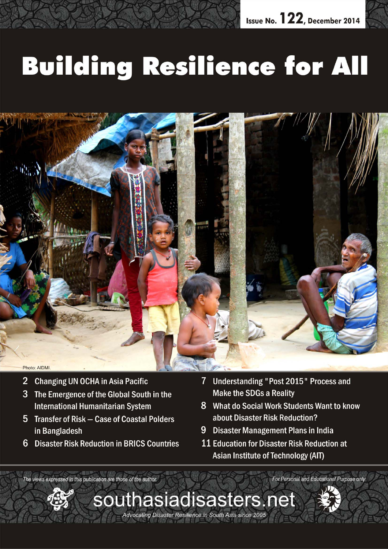# **Building Resilience for All**



- **Changing UN OCHA in Asia Pacific**  $\overline{2}$
- 3 The Emergence of the Global South in the **International Humanitarian System**
- 5 Transfer of Risk Case of Coastal Polders in Bangladesh
- $6\phantom{1}$ **Disaster Risk Reduction in BRICS Countries**
- Understanding "Post 2015" Process and 7 **Make the SDGs a Reality**
- 8 What do Social Work Students Want to know about Disaster Risk Reduction?
- 9 Disaster Management Plans in India
- 11 Education for Disaster Risk Reduction at Asian Institute of Technology (AIT)

The views expressed in this publication are those of the author. For Personal and Educational Purpose only

*December 2014 southasiadisasters.net 1*

Advocating Disaster Resilience in South Asia since 2005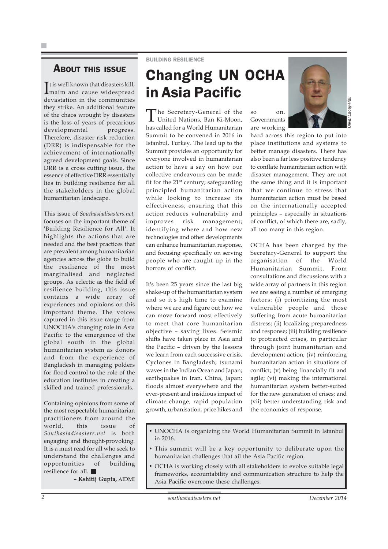### ABOUT THIS ISSUE

It is well known that disasters kill,<br>
maim and cause widespread maim and cause widespread devastation in the communities they strike. An additional feature of the chaos wrought by disasters is the loss of years of precarious developmental progress. Therefore, disaster risk reduction (DRR) is indispensable for the achievement of internationally agreed development goals. Since DRR is a cross cutting issue, the essence of effective DRR essentially lies in building resilience for all the stakeholders in the global humanitarian landscape.

This issue of *Southasiadisasters.net*, focuses on the important theme of 'Building Resilience for All'. It highlights the actions that are needed and the best practices that are prevalent among humanitarian agencies across the globe to build the resilience of the most marginalised and neglected groups. As eclectic as the field of resilience building, this issue contains a wide array of experiences and opinions on this important theme. The voices captured in this issue range from UNOCHA's changing role in Asia Pacific to the emergence of the global south in the global humanitarian system as donors and from the experience of Bangladesh in managing polders for flood control to the role of the education institutes in creating a skilled and trained professionals.

Containing opinions from some of the most respectable humanitarian practitioners from around the world, this issue of *Southasiadisasters.net* is both engaging and thought-provoking. It is a must read for all who seek to understand the challenges and opportunities of building resilience for all.

**– Kshitij Gupta,** AIDMI

#### BUILDING RESILIENCE

### Changing UN OCHA in Asia Pacific

The Secretary-General of the United Nations, Ban Ki-Moon, has called for a World Humanitarian Summit to be convened in 2016 in Istanbul, Turkey. The lead up to the Summit provides an opportunity for everyone involved in humanitarian action to have a say on how our collective endeavours can be made fit for the  $21<sup>st</sup>$  century; safeguarding principled humanitarian action while looking to increase its effectiveness; ensuring that this action reduces vulnerability and improves risk management; identifying where and how new technologies and other developments can enhance humanitarian response, and focusing specifically on serving people who are caught up in the horrors of conflict.

It's been 25 years since the last big shake-up of the humanitarian system and so it's high time to examine where we are and figure out how we can move forward most effectively to meet that core humanitarian objective – saving lives. Seismic shifts have taken place in Asia and the Pacific – driven by the lessons we learn from each successive crisis. Cyclones in Bangladesh; tsunami waves in the Indian Ocean and Japan; earthquakes in Iran, China, Japan; floods almost everywhere and the ever-present and insidious impact of climate change, rapid population growth, urbanisation, price hikes and

so on. Governments are working

Lacey-Hall

*Oliver Lacey-Hall*

hard across this region to put into place institutions and systems to better manage disasters. There has also been a far less positive tendency to conflate humanitarian action with disaster management. They are not the same thing and it is important that we continue to stress that humanitarian action must be based on the internationally accepted principles – especially in situations of conflict, of which there are, sadly, all too many in this region.

OCHA has been charged by the Secretary-General to support the organisation of the World Humanitarian Summit. From consultations and discussions with a wide array of partners in this region we are seeing a number of emerging factors: (i) prioritizing the most vulnerable people and those suffering from acute humanitarian distress; (ii) localizing preparedness and response; (iii) building resilience to protracted crises, in particular through joint humanitarian and development action; (iv) reinforcing humanitarian action in situations of conflict; (v) being financially fit and agile; (vi) making the international humanitarian system better-suited for the new generation of crises; and (vii) better understanding risk and the economics of response.

- UNOCHA is organizing the World Humanitarian Summit in Istanbul in 2016.
- This summit will be a key opportunity to deliberate upon the humanitarian challenges that ail the Asia Pacific region.
- OCHA is working closely with all stakeholders to evolve suitable legal frameworks, accountability and communication structure to help the Asia Pacific overcome these challenges.

*2 southasiadisasters.net December 2014*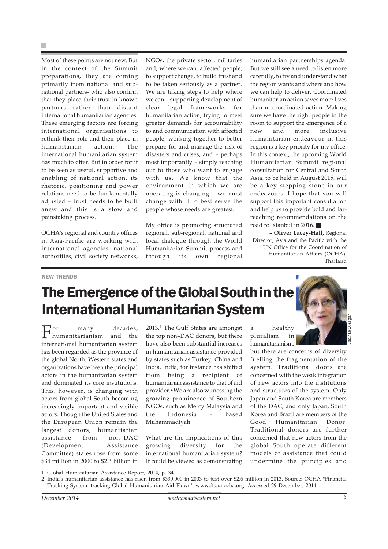Most of these points are not new. But in the context of the Summit preparations, they are coming primarily from national and subnational partners- who also confirm that they place their trust in known partners rather than distant international humanitarian agencies. These emerging factors are forcing international organisations to rethink their role and their place in humanitarian action. The international humanitarian system has much to offer. But in order for it to be seen as useful, supportive and enabling of national action, its rhetoric, positioning and power relations need to be fundamentally adjusted – trust needs to be built anew and this is a slow and painstaking process.

OCHA's regional and country offices in Asia-Pacific are working with international agencies, national authorities, civil society networks,

NGOs, the private sector, militaries and, where we can, affected people, to support change, to build trust and to be taken seriously as a partner. We are taking steps to help where we can – supporting development of clear legal frameworks for humanitarian action, trying to meet greater demands for accountability to and communication with affected people, working together to better prepare for and manage the risk of disasters and crises, and – perhaps most importantly – simply reaching out to those who want to engage with us. We know that the environment in which we are operating is changing – we must change with it to best serve the people whose needs are greatest.

My office is promoting structured regional, sub-regional, national and local dialogue through the World Humanitarian Summit process and through its own regional humanitarian partnerships agenda. But we still see a need to listen more carefully, to try and understand what the region wants and where and how we can help to deliver. Coordinated humanitarian action saves more lives than uncoordinated action. Making sure we have the right people in the room to support the emergence of a new and more inclusive humanitarian endeavour in this region is a key priority for my office. In this context, the upcoming World Humanitarian Summit regional consultation for Central and South Asia, to be held in August 2015, will be a key stepping stone in our endeavours. I hope that you will support this important consultation and help us to provide bold and farreaching recommendations on the road to Istanbul in 2016.

**– Oliver Lacey-Hall,** Regional Director, Asia and the Pacific with the UN Office for the Coordination of Humanitarian Affairs (OCHA), Thailand

#### NEW TRENDS

# The Emergence of the Global South in the International Humanitarian System

For many decades, humanitarianism and the international humanitarian system has been regarded as the province of the global North. Western states and organizations have been the principal actors in the humanitarian system and dominated its core institutions. This, however, is changing with actors from global South becoming increasingly important and visible actors. Though the United States and the European Union remain the largest donors, humanitarian assistance from non–DAC (Development Assistance Committee) states rose from some \$34 million in 2000 to \$2.3 billion in 2013.1 The Gulf States are amongst the top non–DAC donors, but there have also been substantial increases in humanitarian assistance provided by states such as Turkey, China and India. India, for instance has shifted from being a recipient of humanitarian assistance to that of aid provider.2 We are also witnessing the growing prominence of Southern NGOs, such as Mercy Malaysia and the Indonesia – based Muhammadiyah.

What are the implications of this growing diversity for the international humanitarian system? It could be viewed as demonstrating a healthy pluralism in humanitarianism,

but there are concerns of diversity fuelling the fragmentation of the system. Traditional doors are concerned with the weak integration of new actors into the institutions and structures of the system. Only Japan and South Korea are members of the DAC, and only Japan, South Korea and Brazil are members of the Good Humanitarian Donor. Traditional donors are further concerned that new actors from the global South operate different models of assistance that could undermine the principles and

1 Global Humanitarian Assistance Report, 2014, p. 34.

2 India's humanitarian assistance has risen from \$330,000 in 2003 to just over \$2.6 million in 2013. Source: OCHA "Financial Tracking System: tracking Global Humanitarian Aid Flows". www.fts.unocha.org. Accessed 29 December, 2014.

*Jacinta O'Hagan*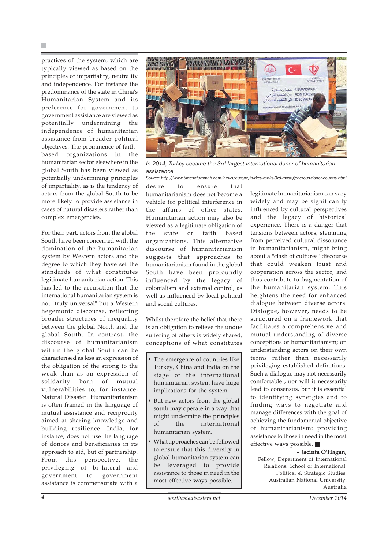practices of the system, which are typically viewed as based on the principles of impartiality, neutrality and independence. For instance the predominance of the state in China's Humanitarian System and its preference for government to government assistance are viewed as potentially undermining the independence of humanitarian assistance from broader political objectives. The prominence of faith– based organizations in the humanitarian sector elsewhere in the global South has been viewed as potentially undermining principles of impartiality, as is the tendency of actors from the global South to be more likely to provide assistance in cases of natural disasters rather than complex emergencies.

For their part, actors from the global South have been concerned with the domination of the humanitarian system by Western actors and the degree to which they have set the standards of what constitutes legitimate humanitarian action. This has led to the accusation that the international humanitarian system is not "truly universal" but a Western hegemonic discourse, reflecting broader structures of inequality between the global North and the global South. In contrast, the discourse of humanitarianism within the global South can be characterised as less an expression of the obligation of the strong to the weak than as an expression of solidarity born of mutual vulnerabilities to, for instance, Natural Disaster. Humanitarianism is often framed in the language of mutual assistance and reciprocity aimed at sharing knowledge and building resilience. India, for instance, does not use the language of donors and beneficiaries in its approach to aid, but of partnership. From this perspective, the privileging of bi–lateral and government to government assistance is commensurate with a



*In 2014, Turkey became the 3rd largest international donor of humanitarian assistance.*

*Source: http://www.timesofummah.com/news/europe/turkey-ranks-3rd-most-generous-donor-country.html*

desire to ensure that humanitarianism does not become a vehicle for political interference in the affairs of other states. Humanitarian action may also be viewed as a legitimate obligation of the state or faith based organizations. This alternative discourse of humanitarianism suggests that approaches to humanitarianism found in the global South have been profoundly influenced by the legacy of colonialism and external control, as well as influenced by local political and social cultures.

Whilst therefore the belief that there is an obligation to relieve the undue suffering of others is widely shared, conceptions of what constitutes

- The emergence of countries like Turkey, China and India on the stage of the international humanitarian system have huge implications for the system.
- But new actors from the global south may operate in a way that might undermine the principles of the international humanitarian system.
- What approaches can be followed to ensure that this diversity in global humanitarian system can be leveraged to provide assistance to those in need in the most effective ways possible.

legitimate humanitarianism can vary widely and may be significantly influenced by cultural perspectives and the legacy of historical experience. There is a danger that tensions between actors, stemming from perceived cultural dissonance in humanitarianism, might bring about a "clash of cultures" discourse that could weaken trust and cooperation across the sector, and thus contribute to fragmentation of the humanitarian system. This heightens the need for enhanced dialogue between diverse actors. Dialogue, however, needs to be structured on a framework that facilitates a comprehensive and mutual understanding of diverse conceptions of humanitarianism; on understanding actors on their own terms rather than necessarily privileging established definitions. Such a dialogue may not necessarily comfortable , nor will it necessarily lead to consensus, but it is essential to identifying synergies and to finding ways to negotiate and manage differences with the goal of achieving the fundamental objective of humanitarianism: providing assistance to those in need in the most effective ways possible.

#### **– Jacinta O'Hagan,**

Fellow, Department of International Relations, School of International, Political & Strategic Studies, Australian National University, Australia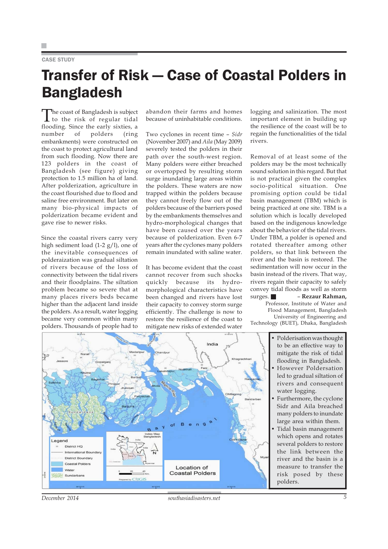#### CASE STUDY

## Transfer of Risk — Case of Coastal Polders in Bangladesh

The coast of Bangladesh is subject to the risk of regular tidal flooding. Since the early sixties, a<br>number of polders (ring number of polders embankments) were constructed on the coast to protect agricultural land from such flooding. Now there are 123 polders in the coast of Bangladesh (see figure) giving protection to 1.5 million ha of land. After polderization, agriculture in the coast flourished due to flood and saline free environment. But later on many bio-physical impacts of polderization became evident and gave rise to newer risks.

Since the coastal rivers carry very high sediment load (1-2 g/l), one of the inevitable consequences of polderaization was gradual siltation of rivers because of the loss of connectivity between the tidal rivers and their floodplains. The siltation problem became so severe that at many places rivers beds became higher than the adjacent land inside the polders. As a result, water logging became very common within many polders. Thousands of people had to

abandon their farms and homes because of uninhabitable conditions.

Two cyclones in recent time – *Sidr* (November 2007) and *Aila* (May 2009) severely tested the polders in their path over the south-west region. Many polders were either breached or overtopped by resulting storm surge inundating large areas within the polders. These waters are now trapped within the polders because they cannot freely flow out of the polders because of the barriers posed by the embankments themselves and hydro-morphological changes that have been caused over the years because of polderization. Even 6-7 years after the cyclones many polders remain inundated with saline water.

It has become evident that the coast cannot recover from such shocks quickly because its hydromorphological characteristics have been changed and rivers have lost their capacity to convey storm surge efficiently. The challenge is now to restore the resilience of the coast to mitigate new risks of extended water

logging and salinization. The most important element in building up the resilience of the coast will be to regain the functionalities of the tidal rivers.

Removal of at least some of the polders may be the most technically sound solution in this regard. But that is not practical given the complex socio-political situation. One promising option could be tidal basin management (TBM) which is being practiced at one site. TBM is a solution which is locally developed based on the indigenous knowledge about the behavior of the tidal rivers. Under TBM, a polder is opened and rotated thereafter among other polders, so that link between the river and the basin is restored. The sedimentation will now occur in the basin instead of the rivers. That way, rivers regain their capacity to safely convey tidal floods as well as storm surges. – **Rezaur Rahman,** Professor, Institute of Water and Flood Management, Bangladesh University of Engineering and Technology (BUET), Dhaka, Bangladesh





*December 2014 southasiadisasters.net 5*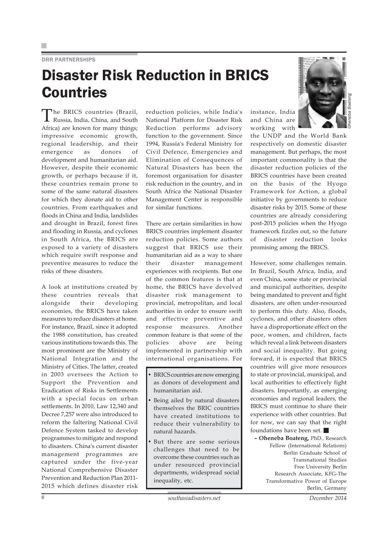#### DRR PARTNERSHIPS

### Disaster Risk Reduction in BRICS Countries

The BRICS countries (Brazil, Russia, India, China, and South Africa) are known for many things; impressive economic growth, regional leadership, and their emergence as donors of development and humanitarian aid. However, despite their economic growth, or perhaps because if it, these countries remain prone to some of the same natural disasters for which they donate aid to other countries. From earthquakes and floods in China and India, landslides and drought in Brazil, forest fires and flooding in Russia, and cyclones in South Africa, the BRICS are exposed to a variety of disasters which require swift response and preventive measures to reduce the risks of these disasters.

A look at institutions created by these countries reveals that alongside their developing economies, the BRICS have taken measures to reduce disasters at home. For instance, Brazil, since it adopted the 1988 constitution, has created various institutions towards this. The most prominent are the Ministry of National Integration and the Ministry of Cities. The latter, created in 2003 oversees the Action to Support the Prevention and Eradication of Risks in Settlements with a special focus on urban settlements. In 2010, Law 12,340 and Decree 7,257 were also introduced to reform the faltering National Civil Defence System tasked to develop programmes to mitigate and respond to disasters. China's current disaster management programmes are captured under the five-year National Comprehensive Disaster Prevention and Reduction Plan 2011- 2015 which defines disaster risk reduction policies, while India's National Platform for Disaster Risk Reduction performs advisory function to the government. Since 1994, Russia's Federal Ministry for Civil Defence, Emergencies and Elimination of Consequences of Natural Disasters has been the foremost organisation for disaster risk reduction in the country, and in South Africa the National Disaster Management Center is responsible for similar functions.

There are certain similarities in how BRICS countries implement disaster reduction policies. Some authors suggest that BRICS use their humanitarian aid as a way to share their disaster management experiences with recipients. But one of the common features is that at home, the BRICS have devolved disaster risk management to provincial, metropolitan, and local authorities in order to ensure swift and effective preventive and response measures. Another common feature is that some of the policies above are being implemented in partnership with international organisations. For

- BRICS countries are now emerging as donors of development and humanitarian aid.
- Being ailed by natural disasters themselves the BRIC countries have created institutions to reduce their vulnerability to natural hazards.
- But there are some serious challenges that need to be overcome these countries such as under resourced provincial departments, widespread social inequality, etc.





*Oheneba Boateng*

the UNDP and the World Bank respectively on domestic disaster management. But perhaps, the most important commonality is that the disaster reduction policies of the BRICS countries have been created on the basis of the Hyogo Framework for Action, a global initiative by governments to reduce disaster risks by 2015. Some of these countries are already considering post-2015 policies when the Hyogo framework fizzles out, so the future of disaster reduction looks promising among the BRICS.

However, some challenges remain. In Brazil, South Africa, India, and even China, some state or provincial and municipal authorities, despite being mandated to prevent and fight disasters, are often under-resourced to perform this duty. Also, floods, cyclones, and other disasters often have a disproportionate effect on the poor, women, and children, facts which reveal a link between disasters and social inequality. But going forward, it is expected that BRICS countries will give more resources to state or provincial, municipal, and local authorities to effectively fight disasters. Importantly, as emerging economies and regional leaders, the BRICS must continue to share their experience with other countries. But for now, we can say that the right foundations have been set.

**– Oheneba Boateng,** PhD., Research Fellow (International Relations) Berlin Graduate School of Transnational Studies Free University Berlin Research Associate, KFG-The Transformative Power of Europe Berlin, Germany

*6 southasiadisasters.net December 2014*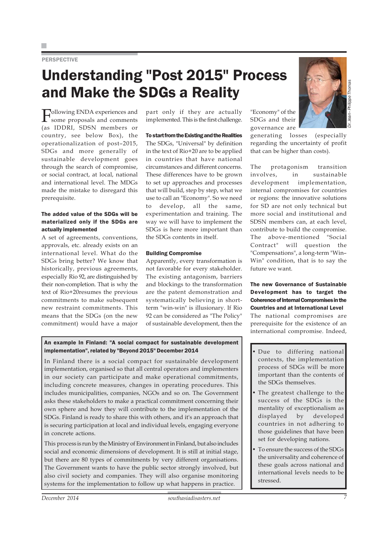#### **PERSPECTIVE**

### Understanding "Post 2015" Process and Make the SDGs a Reality

Following ENDA experiences and some proposals and comments (as IDDRI, SDSN members or country, see below Box), the operationalization of post–2015, SDGs and more generally of sustainable development goes through the search of compromise, or social contract, at local, national and international level. The MDGs made the mistake to disregard this prerequisite.

#### The added value of the SDGs will be materialized only if the SDGs are actually implemented

A set of agreements, conventions, approvals, etc. already exists on an international level. What do the SDGs bring better? We know that historically, previous agreements, especially Rio 92, are distinguished by their non-completion. That is why the text of Rio+20resumes the previous commitments to make subsequent new restraint commitments. This means that the SDGs (on the new commitment) would have a major

part only if they are actually implemented. This is the first challenge.

To start from the Existing and the Realities The SDGs, "Universal" by definition in the text of Rio+20 are to be applied in countries that have national circumstances and different concerns. These differences have to be grown to set up approaches and processes that will build, step by step, what we use to call an "Economy". So we need to develop, all the same, experimentation and training. The way we will have to implement the SDGs is here more important than the SDGs contents in itself.

#### Building Compromise

Apparently, every transformation is not favorable for every stakeholder. The existing antagonism, barriers and blockings to the transformation are the patent demonstration and systematically believing in shortterm "win-win" is illusionary. If Rio 92 can be considered as "The Policy" of sustainable development, then the

#### An example In Finland: "A social compact for sustainable development implementation", related by "Beyond 2015" December 2014

In Finland there is a social compact for sustainable development implementation, organised so that all central operators and implementers in our society can participate and make operational commitments, including concrete measures, changes in operating procedures. This includes municipalities, companies, NGOs and so on. The Government asks these stakeholders to make a practical commitment concerning their own sphere and how they will contribute to the implementation of the SDGs. Finland is ready to share this with others, and it's an approach that is securing participation at local and individual levels, engaging everyone in concrete actions.

This process is run by the Ministry of Environment in Finland, but also includes social and economic dimensions of development. It is still at initial stage, but there are 80 types of commitments by very different organisations. The Government wants to have the public sector strongly involved, but also civil society and companies. They will also organise monitoring systems for the implementation to follow up what happens in practice.



*Dr. Jean–Philippe Thomas*

governance are generating losses (especially regarding the uncertainty of profit that can be higher than costs).

The protagonism transition involves, in sustainable development implementation, internal compromises for countries or regions: the innovative solutions for SD are not only technical but more social and institutional and SDSN members can, at each level, contribute to build the compromise. The above-mentioned "Social Contract" will question the "Compensations", a long-term "Win– Win" condition, that is to say the future we want.

#### The new Governance of Sustainable Development has to target the Coherence of Internal Compromises in the Countries and at International Level The national compromises are prerequisite for the existence of an

international compromise. Indeed,

- Due to differing national contexts, the implementation process of SDGs will be more important than the contents of the SDGs themselves.
- The greatest challenge to the success of the SDGs is the mentality of exceptionalism as displayed by developed countries in not adhering to those guidelines that have been set for developing nations.
- To ensure the success of the SDGs the universality and coherence of these goals across national and international levels needs to be stressed.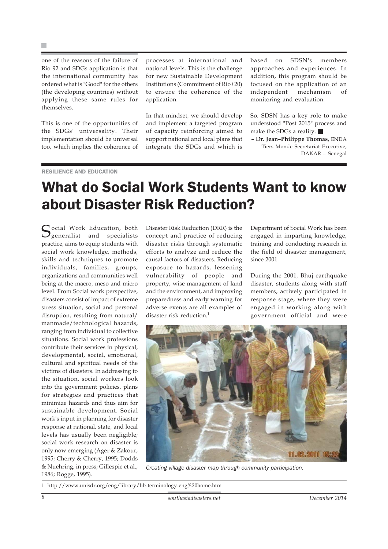one of the reasons of the failure of Rio 92 and SDGs application is that the international community has ordered what is "Good" for the others (the developing countries) without applying these same rules for themselves.

This is one of the opportunities of the SDGs' universality. Their implementation should be universal too, which implies the coherence of processes at international and national levels. This is the challenge for new Sustainable Development Institutions (Commitment of Rio+20) to ensure the coherence of the application.

In that mindset, we should develop and implement a targeted program of capacity reinforcing aimed to support national and local plans that integrate the SDGs and which is

based on SDSN's members approaches and experiences. In addition, this program should be focused on the application of an independent mechanism of monitoring and evaluation.

So, SDSN has a key role to make understood "Post 2015" process and make the SDGs a reality.

**– Dr. Jean–Philippe Thomas,** ENDA Tiers Monde Secretariat Executive, DAKAR – Senegal

#### *DESILIENCE AND EDUCATION*

### What do Social Work Students Want to know about Disaster Risk Reduction?

Cocial Work Education, both  $\mathcal{Q}_{\text{generalist}}$  and specialists practice, aims to equip students with social work knowledge, methods, skills and techniques to promote individuals, families, groups, organizations and communities well being at the macro, meso and micro level. From Social work perspective, disasters consist of impact of extreme stress situation, social and personal disruption, resulting from natural/ manmade/technological hazards, ranging from individual to collective situations. Social work professions contribute their services in physical, developmental, social, emotional, cultural and spiritual needs of the victims of disasters. In addressing to the situation, social workers look into the government policies, plans for strategies and practices that minimize hazards and thus aim for sustainable development. Social work's input in planning for disaster response at national, state, and local levels has usually been negligible; social work research on disaster is only now emerging (Ager & Zakour, 1995; Cherry & Cherry, 1995; Dodds & Nuehring, in press; Gillespie et al., 1986; Rogge, 1995).

Disaster Risk Reduction (DRR) is the concept and practice of reducing disaster risks through systematic efforts to analyze and reduce the causal factors of disasters. Reducing exposure to hazards, lessening vulnerability of people and property, wise management of land and the environment, and improving preparedness and early warning for adverse events are all examples of disaster risk reduction.<sup>1</sup>

Department of Social Work has been engaged in imparting knowledge, training and conducting research in the field of disaster management, since 2001:

During the 2001, Bhuj earthquake disaster, students along with staff members, actively participated in response stage, where they were engaged in working along with government official and were



*Creating village disaster map through community participation.*

1 http://www.unisdr.org/eng/library/lib-terminology-eng%20home.htm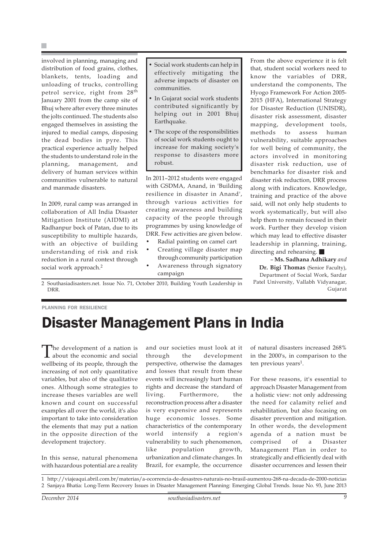involved in planning, managing and distribution of food grains, clothes, blankets, tents, loading and unloading of trucks, controlling petrol service, right from 28th January 2001 from the camp site of Bhuj where after every three minutes the jolts continued. The students also engaged themselves in assisting the injured to medial camps, disposing the dead bodies in pyre. This practical experience actually helped the students to understand role in the planning, management, and delivery of human services within communities vulnerable to natural and manmade disasters.

In 2009, rural camp was arranged in collaboration of All India Disaster Mitigation Institute (AIDMI) at Radhanpur bock of Patan, due to its susceptibility to multiple hazards, with an objective of building understanding of risk and risk reduction in a rural context through social work approach.<sup>2</sup>

- Social work students can help in effectively mitigating the adverse impacts of disaster on communities.
- In Gujarat social work students contributed significantly by helping out in 2001 Bhuj Earthquake.
- The scope of the responsibilities of social work students ought to increase for making society's response to disasters more robust.

In 2011–2012 students were engaged with GSDMA, Anand, in 'Building resilience in disaster in Anand', through various activities for creating awareness and building capacity of the people through programmes by using knowledge of DRR. Few activities are given below.

- Radial painting on camel cart
- Creating village disaster map through community participation • Awareness through signatory

campaign

From the above experience it is felt that, student social workers need to know the variables of DRR, understand the components, The Hyogo Framework For Action 2005- 2015 (HFA), International Strategy for Disaster Reduction (UNISDR), disaster risk assessment, disaster mapping, development tools, methods to assess human vulnerability, suitable approaches for well being of community, the actors involved in monitoring disaster risk reduction, use of benchmarks for disaster risk and disaster risk reduction, DRR process along with indicators. Knowledge, training and practice of the above said, will not only help students to work systematically, but will also help them to remain focused in their work. Further they develop vision which may lead to effective disaster leadership in planning, training, directing and rehearsing.  $\blacksquare$ 

– **Ms. Sadhana Adhikary** *and* **Dr. Bigi Thomas** (Senior Faculty), Department of Social Work, Sardar Patel University, Vallabh Vidyanagar, Gujarat

2 Southasiadisasters.net. Issue No. 71, October 2010, Building Youth Leadership in DRR.

PLANNING FOR RESILIENCE

# Disaster Management Plans in India

The development of a nation is<br>about the economic and social wellbeing of its people, through the increasing of not only quantitative variables, but also of the qualitative ones. Although some strategies to increase theses variables are well known and count on successful examples all over the world, it's also important to take into consideration the elements that may put a nation in the opposite direction of the development trajectory.

In this sense, natural phenomena with hazardous potential are a reality

and our societies must look at it through the development perspective, otherwise the damages and losses that result from these events will increasingly hurt human rights and decrease the standard of living. Furthermore, the reconstruction process after a disaster is very expensive and represents huge economic losses. Some characteristics of the contemporary world intensify a region's vulnerability to such phenomenon, like population growth, urbanization and climate changes. In Brazil, for example, the occurrence

of natural disasters increased 268% in the 2000's, in comparison to the ten previous years<sup>1</sup>.

For these reasons, it's essential to approach Disaster Management from a holistic view: not only addressing the need for calamity relief and rehabilitation, but also focasing on disaster prevention and mitigation. In other words, the development agenda of a nation must be comprised of a Disaster Management Plan in order to strategically and efficiently deal with disaster occurrences and lessen their

1 http://viajeaqui.abril.com.br/materias/a-ocorrencia-de-desastres-naturais-no-brasil-aumentou-268-na-decada-de-2000-noticias 2 Sanjaya Bhatia: Long-Term Recovery Issues in Disaster Management Planning: Emerging Global Trends. Issue No. 93, June 2013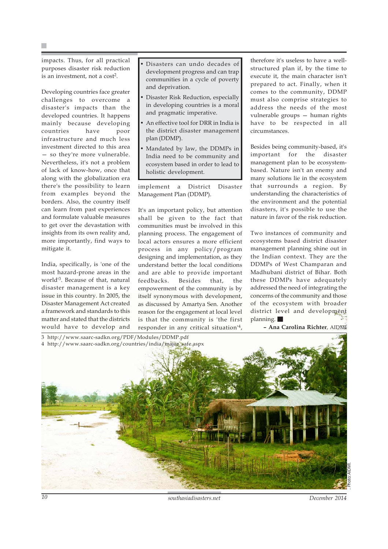impacts. Thus, for all practical purposes disaster risk reduction is an investment, not a cost2.

Developing countries face greater challenges to overcome a disaster's impacts than the developed countries. It happens mainly because developing countries have poor infrastructure and much less investment directed to this area — so they're more vulnerable. Nevertheless, it's not a problem of lack of know-how, once that along with the globalization era there's the possibility to learn from examples beyond the borders. Also, the country itself can learn from past experiences and formulate valuable measures to get over the devastation with insights from its own reality and, more importantly, find ways to mitigate it.

India, specifically, is 'one of the most hazard-prone areas in the world'3. Because of that, natural disaster management is a key issue in this country. In 2005, the Disaster Management Act created a framework and standards to this matter and stated that the districts would have to develop and • Disasters can undo decades of development progress and can trap communities in a cycle of poverty and deprivation.

- Disaster Risk Reduction, especially in developing countries is a moral and pragmatic imperative.
- An effective tool for DRR in India is the district disaster management plan (DDMP).
- Mandated by law, the DDMPs in India need to be community and ecosystem based in order to lead to holistic development.

implement a District Disaster Management Plan (DDMP).

It's an important policy, but attention shall be given to the fact that communities must be involved in this planning process. The engagement of local actors ensures a more efficient process in any policy/program designing and implementation, as they understand better the local conditions and are able to provide important feedbacks. Besides that, the empowerment of the community is by itself synonymous with development, as discussed by Amartya Sen. Another reason for the engagement at local level is that the community is 'the first responder in any critical situation'4,

therefore it's useless to have a wellstructured plan if, by the time to execute it, the main character isn't prepared to act. Finally, when it comes to the community, DDMP must also comprise strategies to address the needs of the most vulnerable groups — human rights have to be respected in all circumstances.

Besides being community-based, it's important for the disaster management plan to be ecosystembased. Nature isn't an enemy and many solutions lie in the ecosystem that surrounds a region. By understanding the characteristics of the environment and the potential disasters, it's possible to use the nature in favor of the risk reduction.

Two instances of community and ecosystems based district disaster management planning shine out in the Indian context. They are the DDMPs of West Champaran and Madhubani district of Bihar. Both these DDMPs have adequately addressed the need of integrating the concerns of the community and those of the ecosystem with broader district level and development planning.

**– Ana Carolina Richter**, AIDMI

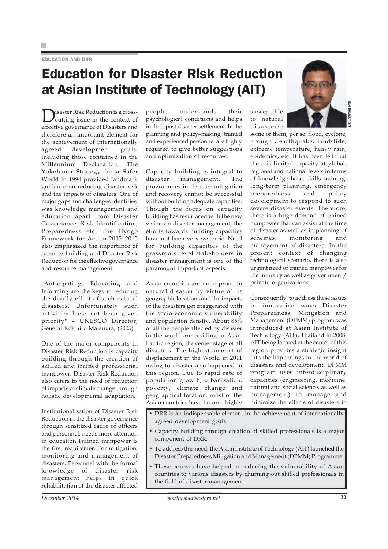#### EDUCATION AND DRR

### Education for Disaster Risk Reduction at Asian Institute of Technology (AIT)

Disaster Risk Reduction is a cross-<br>cutting issue in the context of effective governance of Disasters and therefore an important element for the achievement of internationally agreed development goals, including those contained in the Millennium Declaration. The Yokohama Strategy for a Safer World in 1994 provided landmark guidance on reducing disaster risk and the impacts of disasters. One of major gaps and challenges identified was knowledge management and education apart from Disaster Governance, Risk Identification, Preparedness etc. The Hyogo Framework for Action 2005–2015 also emphasized the importance of capacity building and Disaster Risk Reduction for the effective governance and resource management.

"Anticipating, Educating and Informing are the keys to reducing the deadly effect of such natural disasters. Unfortunately such activities have not been given priority" – UNESCO Director, General Koïchiro Matsuura, (2005).

One of the major components in Disaster Risk Reduction is capacity building through the creation of skilled and trained professional manpower. Disaster Risk Reduction also caters to the need of reduction of impacts of climate change through holistic developmental adaptation.

Institutionalization of Disaster Risk Reduction in the disaster governance through sensitized cadre of officers and personnel, needs more attention in education.Trained manpower is the first requirement for mitigation, monitoring and management of disasters. Personnel with the formal knowledge of disaster risk management helps in quick rehabilitation of the disaster affected people, understands their psychological conditions and helps in their post disaster settlement. In the planning and policy–making, trained and experienced personnel are highly required to give better suggestions and optimization of resources.

Capacity building is integral to disaster management. The programmes in disaster mitigation and recovery cannot be successful without building adequate capacities. Though the focus on capacity building has resurfaced with the new vision on disaster management, the efforts towards building capacities have not been very systemic. Need for building capacities of the grassroots level stakeholders in disaster management is one of the paramount important aspects.

Asian countries are more prone to natural disaster by virtue of its geographic locations and the impacts of the disasters get exaggerated with the socio-economic vulnerability and population density. About 85% of all the people affected by disaster in the world are residing in Asia– Pacific region, the center stage of all disasters. The highest amount of displacement in the World in 2011 owing to disaster also happened in this region. Due to rapid rate of population growth, urbanization, poverty, climate change and geographical location, most of the Asian countries have become highly



ndrajit Pal *Dr. Indrajit Pal*

susceptible to natural disasters;

some of them, per se: flood, cyclone, drought, earthquake, landslide, extreme temperature, heavy rain, epidemics, etc. It has been felt that there is limited capacity at global, regional and national levels in terms of knowledge base, skills training, long-term planning, emergency preparedness and policy development to respond to such severe disaster events. Therefore, there is a huge demand of trained manpower that can assist at the time of disaster as well as in planning of schemes, monitoring and management of disasters. In the present context of changing technological scenario, there is also urgent need of trained manpower for the industry as well as government/ private organizations.

Consequently, to address these issues in innovative ways Disaster Preparedness, Mitigation and Management (DPMM) program was introduced at Asian Institute of Technology (AIT), Thailand in 2008. AIT being located at the center of this region provides a strategic insight into the happenings in the world of disasters and development. DPMM program uses interdisciplinary capacities (engineering, medicine, natural and social science, as well as management) to manage and minimize the effects of disasters in

- DRR is an indispensable element in the achievement of internationally agreed development goals.
- Capacity building through creation of skilled professionals is a major component of DRR.
- To address this need, the Asian Institute of Technology (AIT) launched the Disaster Preparedness Mitigation and Management (DPMM) Programme.
- These courses have helped in reducing the vulnerability of Asian countries to various disasters by churning out skilled professionals in the field of disaster management.